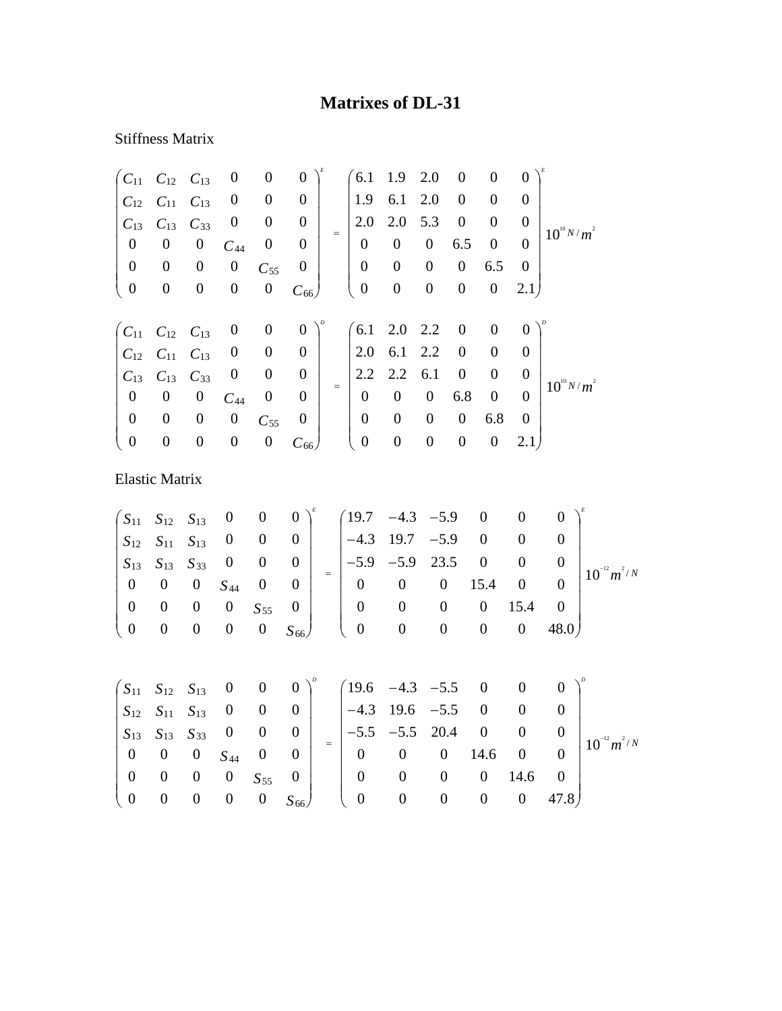## **Matrixes of DL-31**

## Stiffness Matrix

|                                                          | $C_{11}$ $C_{12}$ $C_{13}$ |                  | $\boldsymbol{0}$ | $\boldsymbol{0}$ | $\overline{0}$   |     |                  | $6.1$ 1.9        | 2.0              | $\overline{0}$   | $\boldsymbol{0}$ | $\Omega$       |                 |
|----------------------------------------------------------|----------------------------|------------------|------------------|------------------|------------------|-----|------------------|------------------|------------------|------------------|------------------|----------------|-----------------|
| $C_{12}$                                                 | $C_{11}$ $C_{13}$          |                  | $\boldsymbol{0}$ | $\boldsymbol{0}$ | $\boldsymbol{0}$ |     | 1.9              | 6.1              | 2.0              | $\boldsymbol{0}$ | $\overline{0}$   | 0              |                 |
| $C_{13}$                                                 | $C_{13}$                   | $C_{33}$         | $\boldsymbol{0}$ | $\boldsymbol{0}$ | $\boldsymbol{0}$ |     | 2.0              | 2.0              | 5.3              | $\boldsymbol{0}$ | $\overline{0}$   | $\theta$       | $10^{10} N/m^2$ |
| $\boldsymbol{0}$                                         | $\boldsymbol{0}$           | $\boldsymbol{0}$ | $C_{44}$         | $\boldsymbol{0}$ | $\theta$         | $=$ | $\boldsymbol{0}$ | $\overline{0}$   | $\overline{0}$   | 6.5              | $\boldsymbol{0}$ | $\Omega$       |                 |
| $\overline{0}$                                           | $\boldsymbol{0}$           | $\boldsymbol{0}$ | $\boldsymbol{0}$ | $C_{55}$         | $\boldsymbol{0}$ |     | $\mathbf{0}$     | $\boldsymbol{0}$ | $\boldsymbol{0}$ | $\boldsymbol{0}$ | 6.5              | $\overline{0}$ |                 |
| $\overline{0}$                                           | $\boldsymbol{0}$           | $\boldsymbol{0}$ | $\boldsymbol{0}$ | $\boldsymbol{0}$ | $C_{66}$         |     | $\boldsymbol{0}$ | $\boldsymbol{0}$ | $\boldsymbol{0}$ | $\boldsymbol{0}$ | $\boldsymbol{0}$ | 2.1)           |                 |
|                                                          |                            |                  |                  |                  |                  |     |                  |                  |                  |                  |                  |                |                 |
|                                                          |                            |                  |                  |                  |                  |     |                  |                  |                  |                  |                  |                |                 |
| $\begin{pmatrix} C_{11} & C_{12} & C_{13} \end{pmatrix}$ |                            |                  | $\boldsymbol{0}$ | $\boldsymbol{0}$ | $\overline{0}$   |     |                  | $6.1$ 2.0 2.2    |                  | $\overline{0}$   | $\boldsymbol{0}$ | $\theta$       |                 |
|                                                          | $C_{12}$ $C_{11}$ $C_{13}$ |                  | $\boldsymbol{0}$ | $\boldsymbol{0}$ | $\boldsymbol{0}$ |     | 2.0              | 6.1 2.2          |                  | $\boldsymbol{0}$ | $\boldsymbol{0}$ | 0              |                 |
|                                                          | $C_{13}$ $C_{13}$          | $C_{33}$         | $\boldsymbol{0}$ | $\boldsymbol{0}$ | $\boldsymbol{0}$ |     |                  | $2.2 \quad 2.2$  | 6.1              | $\boldsymbol{0}$ | $\boldsymbol{0}$ | 0              |                 |
| $\boldsymbol{0}$                                         | $\boldsymbol{0}$           | $\boldsymbol{0}$ | $C_{44}$         | $\boldsymbol{0}$ | $\theta$         | $=$ | $\boldsymbol{0}$ | $\mathbf{0}$     | $\mathbf{0}$     | 6.8              | $\boldsymbol{0}$ | $\Omega$       | $10^{10} N/m^2$ |
| $\overline{0}$                                           | $\boldsymbol{0}$           | $\boldsymbol{0}$ | $\boldsymbol{0}$ | $C_{55}$         | $\boldsymbol{0}$ |     | $\overline{0}$   | $\boldsymbol{0}$ | $\boldsymbol{0}$ | $\boldsymbol{0}$ | 6.8              | $\Omega$       |                 |
| $\boldsymbol{0}$                                         | $\boldsymbol{0}$           | $\boldsymbol{0}$ | $\boldsymbol{0}$ | $\boldsymbol{0}$ | $C_{66}$         |     | $\boldsymbol{0}$ | $\boldsymbol{0}$ | $\boldsymbol{0}$ | $\boldsymbol{0}$ | $\boldsymbol{0}$ | 2.1            |                 |

Elastic Matrix

$$
\begin{pmatrix}\nS_{11} & S_{12} & S_{13} & 0 & 0 & 0 \\
S_{12} & S_{11} & S_{13} & 0 & 0 & 0 \\
S_{13} & S_{13} & S_{33} & 0 & 0 & 0 \\
0 & 0 & 0 & S_{44} & 0 & 0 \\
0 & 0 & 0 & 0 & S_{55} & 0 \\
0 & 0 & 0 & 0 & 0 & S_{66}\n\end{pmatrix}^{E} = \begin{pmatrix}\n19.7 & -4.3 & -5.9 & 0 & 0 & 0 \\
-4.3 & 19.7 & -5.9 & 0 & 0 & 0 \\
-5.9 & -5.9 & 23.5 & 0 & 0 & 0 \\
0 & 0 & 0 & 15.4 & 0 & 0 \\
0 & 0 & 0 & 0 & 15.4 & 0 \\
0 & 0 & 0 & 0 & 0 & 48.0\n\end{pmatrix}^{E}
$$

|                                           |             |                                                                      |                                                                          |          | $\begin{pmatrix} S_{11} & S_{12} & S_{13} & 0 & 0 & 0 \end{pmatrix}^{\nu}$ $\begin{pmatrix} 19.6 & -4.3 & -5.5 & 0 & 0 & 0 \end{pmatrix}^{\nu}$ |              |     |                |                |                  |
|-------------------------------------------|-------------|----------------------------------------------------------------------|--------------------------------------------------------------------------|----------|-------------------------------------------------------------------------------------------------------------------------------------------------|--------------|-----|----------------|----------------|------------------|
|                                           |             |                                                                      | $\begin{array}{cccccc} S_{12} & S_{11} & S_{13} & 0 & 0 & 0 \end{array}$ |          | $ -4.3 \quad 19.6 \quad -5.5 \quad 0$                                                                                                           |              |     | $\overline{0}$ |                |                  |
|                                           |             | $\begin{vmatrix} S_{13} & S_{13} & S_{33} & 0 & 0 & 0 \end{vmatrix}$ |                                                                          |          | $\begin{vmatrix} -5.5 & -5.5 & 20.4 & 0 \end{vmatrix}$                                                                                          |              |     |                |                | $10^{-12} m^2/N$ |
|                                           |             | $\begin{matrix} 0 & 0 & 0 & S_{44} & 0 & 0 \end{matrix}$             |                                                                          |          | $0 \t 0 \t 0 \t 14.6 \t 0$                                                                                                                      |              |     |                |                |                  |
| $0\qquad 0$                               | $0 \quad 0$ | $S_{55}$ 0                                                           |                                                                          | $\theta$ | $\overline{\mathbf{0}}$                                                                                                                         |              | - 0 | $14.6 \t 0$    |                |                  |
| $\begin{pmatrix} 0 & 0 & 0 \end{pmatrix}$ |             |                                                                      |                                                                          |          | $0 S_{66}$ ( 0 0                                                                                                                                | $\mathbf{0}$ |     |                | $0 \quad 47.8$ |                  |